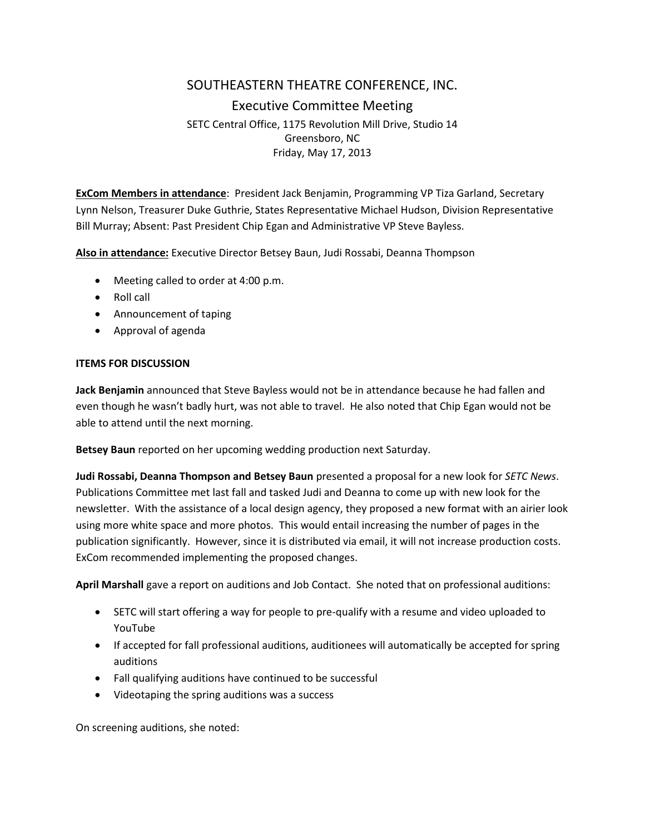# SOUTHEASTERN THEATRE CONFERENCE, INC. Executive Committee Meeting SETC Central Office, 1175 Revolution Mill Drive, Studio 14 Greensboro, NC Friday, May 17, 2013

**ExCom Members in attendance**: President Jack Benjamin, Programming VP Tiza Garland, Secretary Lynn Nelson, Treasurer Duke Guthrie, States Representative Michael Hudson, Division Representative Bill Murray; Absent: Past President Chip Egan and Administrative VP Steve Bayless.

**Also in attendance:** Executive Director Betsey Baun, Judi Rossabi, Deanna Thompson

- Meeting called to order at 4:00 p.m.
- Roll call
- Announcement of taping
- Approval of agenda

### **ITEMS FOR DISCUSSION**

**Jack Benjamin** announced that Steve Bayless would not be in attendance because he had fallen and even though he wasn't badly hurt, was not able to travel. He also noted that Chip Egan would not be able to attend until the next morning.

**Betsey Baun** reported on her upcoming wedding production next Saturday.

**Judi Rossabi, Deanna Thompson and Betsey Baun** presented a proposal for a new look for *SETC News*. Publications Committee met last fall and tasked Judi and Deanna to come up with new look for the newsletter. With the assistance of a local design agency, they proposed a new format with an airier look using more white space and more photos. This would entail increasing the number of pages in the publication significantly. However, since it is distributed via email, it will not increase production costs. ExCom recommended implementing the proposed changes.

**April Marshall** gave a report on auditions and Job Contact. She noted that on professional auditions:

- SETC will start offering a way for people to pre-qualify with a resume and video uploaded to YouTube
- If accepted for fall professional auditions, auditionees will automatically be accepted for spring auditions
- Fall qualifying auditions have continued to be successful
- Videotaping the spring auditions was a success

On screening auditions, she noted: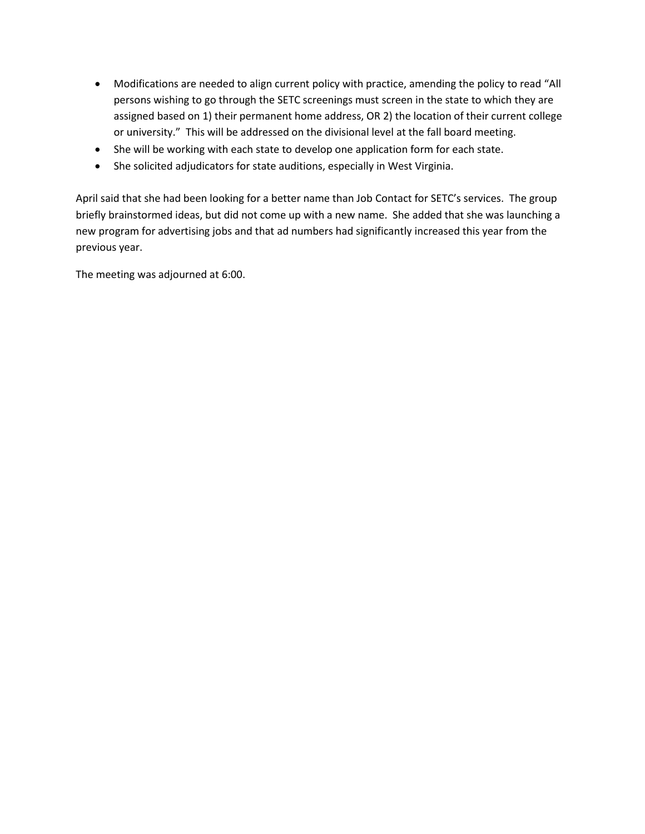- Modifications are needed to align current policy with practice, amending the policy to read "All persons wishing to go through the SETC screenings must screen in the state to which they are assigned based on 1) their permanent home address, OR 2) the location of their current college or university." This will be addressed on the divisional level at the fall board meeting.
- She will be working with each state to develop one application form for each state.
- She solicited adjudicators for state auditions, especially in West Virginia.

April said that she had been looking for a better name than Job Contact for SETC's services. The group briefly brainstormed ideas, but did not come up with a new name. She added that she was launching a new program for advertising jobs and that ad numbers had significantly increased this year from the previous year.

The meeting was adjourned at 6:00.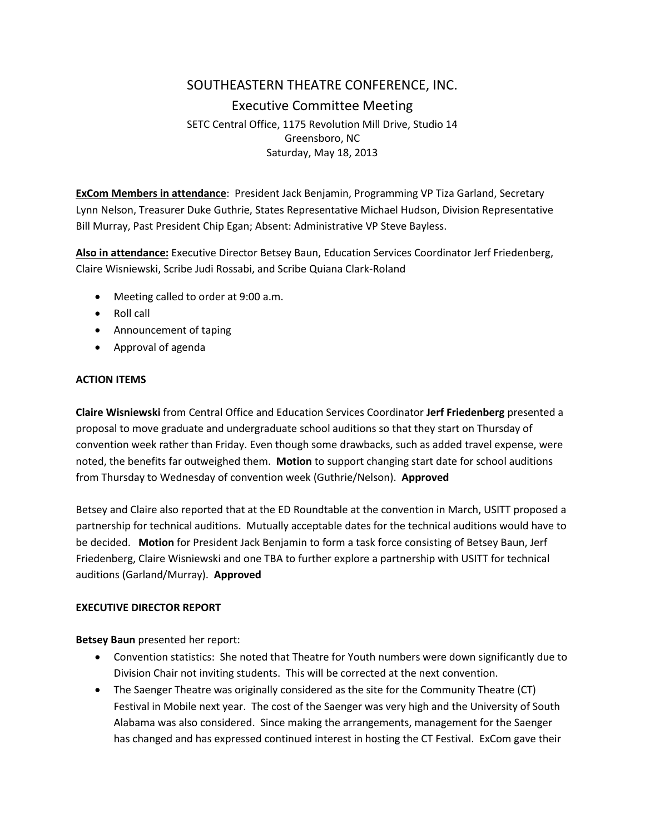# SOUTHEASTERN THEATRE CONFERENCE, INC. Executive Committee Meeting SETC Central Office, 1175 Revolution Mill Drive, Studio 14 Greensboro, NC Saturday, May 18, 2013

**ExCom Members in attendance**: President Jack Benjamin, Programming VP Tiza Garland, Secretary Lynn Nelson, Treasurer Duke Guthrie, States Representative Michael Hudson, Division Representative Bill Murray, Past President Chip Egan; Absent: Administrative VP Steve Bayless.

**Also in attendance:** Executive Director Betsey Baun, Education Services Coordinator Jerf Friedenberg, Claire Wisniewski, Scribe Judi Rossabi, and Scribe Quiana Clark-Roland

- Meeting called to order at 9:00 a.m.
- Roll call
- Announcement of taping
- Approval of agenda

#### **ACTION ITEMS**

**Claire Wisniewski** from Central Office and Education Services Coordinator **Jerf Friedenberg** presented a proposal to move graduate and undergraduate school auditions so that they start on Thursday of convention week rather than Friday. Even though some drawbacks, such as added travel expense, were noted, the benefits far outweighed them. **Motion** to support changing start date for school auditions from Thursday to Wednesday of convention week (Guthrie/Nelson). **Approved**

Betsey and Claire also reported that at the ED Roundtable at the convention in March, USITT proposed a partnership for technical auditions. Mutually acceptable dates for the technical auditions would have to be decided. **Motion** for President Jack Benjamin to form a task force consisting of Betsey Baun, Jerf Friedenberg, Claire Wisniewski and one TBA to further explore a partnership with USITT for technical auditions (Garland/Murray). **Approved**

### **EXECUTIVE DIRECTOR REPORT**

**Betsey Baun** presented her report:

- Convention statistics: She noted that Theatre for Youth numbers were down significantly due to Division Chair not inviting students. This will be corrected at the next convention.
- The Saenger Theatre was originally considered as the site for the Community Theatre (CT) Festival in Mobile next year. The cost of the Saenger was very high and the University of South Alabama was also considered. Since making the arrangements, management for the Saenger has changed and has expressed continued interest in hosting the CT Festival. ExCom gave their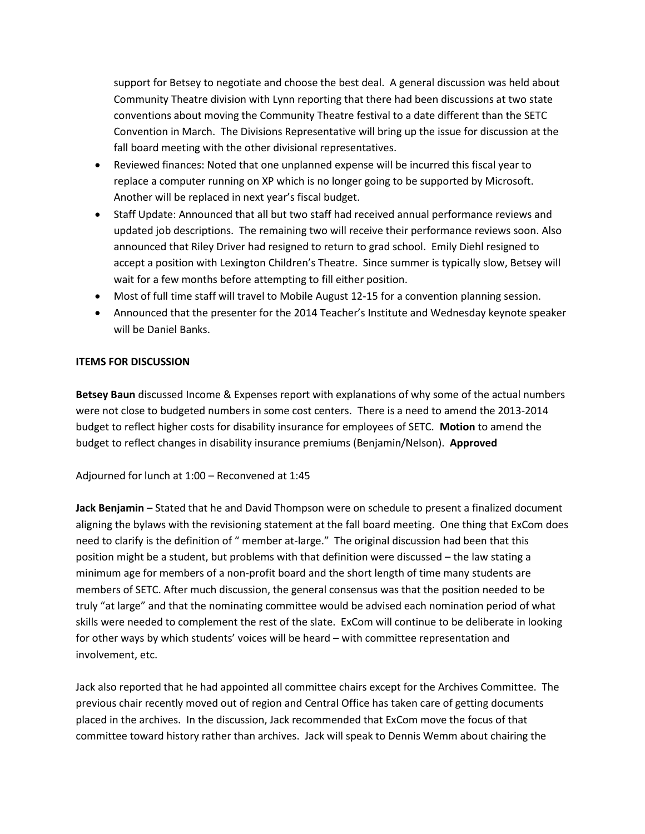support for Betsey to negotiate and choose the best deal. A general discussion was held about Community Theatre division with Lynn reporting that there had been discussions at two state conventions about moving the Community Theatre festival to a date different than the SETC Convention in March. The Divisions Representative will bring up the issue for discussion at the fall board meeting with the other divisional representatives.

- Reviewed finances: Noted that one unplanned expense will be incurred this fiscal year to replace a computer running on XP which is no longer going to be supported by Microsoft. Another will be replaced in next year's fiscal budget.
- Staff Update: Announced that all but two staff had received annual performance reviews and updated job descriptions. The remaining two will receive their performance reviews soon. Also announced that Riley Driver had resigned to return to grad school. Emily Diehl resigned to accept a position with Lexington Children's Theatre. Since summer is typically slow, Betsey will wait for a few months before attempting to fill either position.
- Most of full time staff will travel to Mobile August 12-15 for a convention planning session.
- Announced that the presenter for the 2014 Teacher's Institute and Wednesday keynote speaker will be Daniel Banks.

## **ITEMS FOR DISCUSSION**

**Betsey Baun** discussed Income & Expenses report with explanations of why some of the actual numbers were not close to budgeted numbers in some cost centers. There is a need to amend the 2013-2014 budget to reflect higher costs for disability insurance for employees of SETC. **Motion** to amend the budget to reflect changes in disability insurance premiums (Benjamin/Nelson). **Approved**

### Adjourned for lunch at 1:00 – Reconvened at 1:45

**Jack Benjamin** – Stated that he and David Thompson were on schedule to present a finalized document aligning the bylaws with the revisioning statement at the fall board meeting. One thing that ExCom does need to clarify is the definition of " member at-large." The original discussion had been that this position might be a student, but problems with that definition were discussed – the law stating a minimum age for members of a non-profit board and the short length of time many students are members of SETC. After much discussion, the general consensus was that the position needed to be truly "at large" and that the nominating committee would be advised each nomination period of what skills were needed to complement the rest of the slate. ExCom will continue to be deliberate in looking for other ways by which students' voices will be heard – with committee representation and involvement, etc.

Jack also reported that he had appointed all committee chairs except for the Archives Committee. The previous chair recently moved out of region and Central Office has taken care of getting documents placed in the archives. In the discussion, Jack recommended that ExCom move the focus of that committee toward history rather than archives. Jack will speak to Dennis Wemm about chairing the